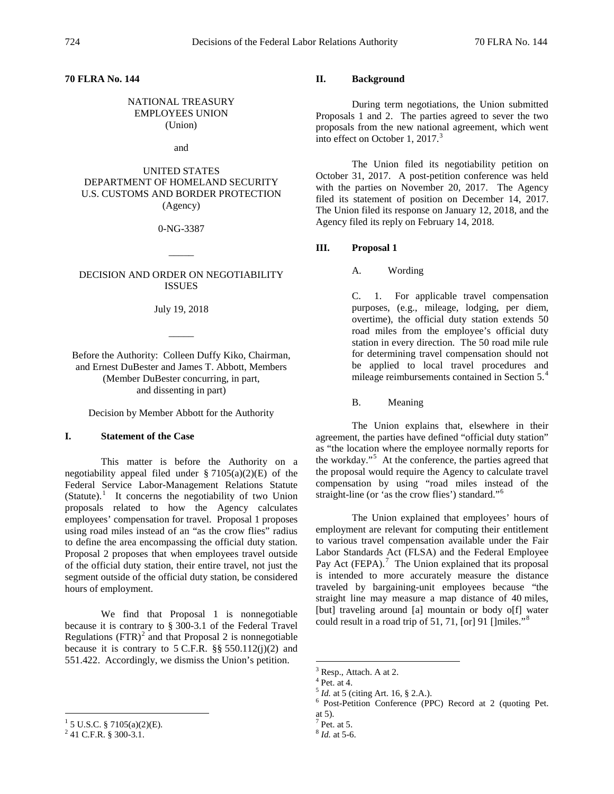### **70 FLRA No. 144**

# NATIONAL TREASURY EMPLOYEES UNION (Union)

and

# UNITED STATES DEPARTMENT OF HOMELAND SECURITY U.S. CUSTOMS AND BORDER PROTECTION (Agency)

0-NG-3387

 $\overline{\phantom{a}}$ 

#### DECISION AND ORDER ON NEGOTIABILITY ISSUES

July 19, 2018

 $\overline{\phantom{a}}$ 

Before the Authority: Colleen Duffy Kiko, Chairman, and Ernest DuBester and James T. Abbott, Members (Member DuBester concurring, in part, and dissenting in part)

Decision by Member Abbott for the Authority

## **I. Statement of the Case**

This matter is before the Authority on a negotiability appeal filed under  $\S 7105(a)(2)(E)$  of the Federal Service Labor-Management Relations Statute (Statute). $\frac{1}{1}$  $\frac{1}{1}$  $\frac{1}{1}$  It concerns the negotiability of two Union proposals related to how the Agency calculates employees' compensation for travel. Proposal 1 proposes using road miles instead of an "as the crow flies" radius to define the area encompassing the official duty station. Proposal 2 proposes that when employees travel outside of the official duty station, their entire travel, not just the segment outside of the official duty station, be considered hours of employment.

We find that Proposal 1 is nonnegotiable because it is contrary to § 300-3.1 of the Federal Travel Regulations  $(FTR)^2$  $(FTR)^2$  and that Proposal 2 is nonnegotiable because it is contrary to  $5$  C.F.R. §§  $550.112(i)(2)$  and 551.422. Accordingly, we dismiss the Union's petition.

# **II. Background**

During term negotiations, the Union submitted Proposals 1 and 2. The parties agreed to sever the two proposals from the new national agreement, which went into effect on October 1, 2017. $3$ 

The Union filed its negotiability petition on October 31, 2017. A post-petition conference was held with the parties on November 20, 2017. The Agency filed its statement of position on December 14, 2017. The Union filed its response on January 12, 2018, and the Agency filed its reply on February 14, 2018.

## **III. Proposal 1**

A. Wording

C. 1. For applicable travel compensation purposes, (e.g., mileage, lodging, per diem, overtime), the official duty station extends 50 road miles from the employee's official duty station in every direction. The 50 road mile rule for determining travel compensation should not be applied to local travel procedures and mileage reimbursements contained in Section 5.[4](#page-0-3)

B. Meaning

The Union explains that, elsewhere in their agreement, the parties have defined "official duty station" as "the location where the employee normally reports for the workday."<sup>[5](#page-0-4)</sup> At the conference, the parties agreed that the proposal would require the Agency to calculate travel compensation by using "road miles instead of the straight-line (or 'as the crow flies') standard."[6](#page-0-5)

The Union explained that employees' hours of employment are relevant for computing their entitlement to various travel compensation available under the Fair Labor Standards Act (FLSA) and the Federal Employee Pay Act (FEPA). $<sup>7</sup>$  $<sup>7</sup>$  $<sup>7</sup>$  The Union explained that its proposal</sup> is intended to more accurately measure the distance traveled by bargaining-unit employees because "the straight line may measure a map distance of 40 miles, [but] traveling around [a] mountain or body o[f] water could result in a road trip of 51, 71, [or] 91 []miles."[8](#page-0-1)

<span id="page-0-5"></span><span id="page-0-4"></span><span id="page-0-3"></span><span id="page-0-2"></span><span id="page-0-1"></span><span id="page-0-0"></span><sup>&</sup>lt;sup>1</sup> 5 U.S.C. § 7105(a)(2)(E).<br><sup>2</sup> 41 C.F.R. § 300-3.1.

<sup>&</sup>lt;sup>3</sup> Resp., Attach. A at 2.<br><sup>4</sup> Pet. at 4.<br><sup>5</sup> *Id.* at 5 (citing Art. 16, § 2.A.).

<sup>&</sup>lt;sup>6</sup> Post-Petition Conference (PPC) Record at 2 (quoting Pet.

at 5).<br> $7$  Pet. at 5.

<sup>8</sup> *Id.* at 5-6.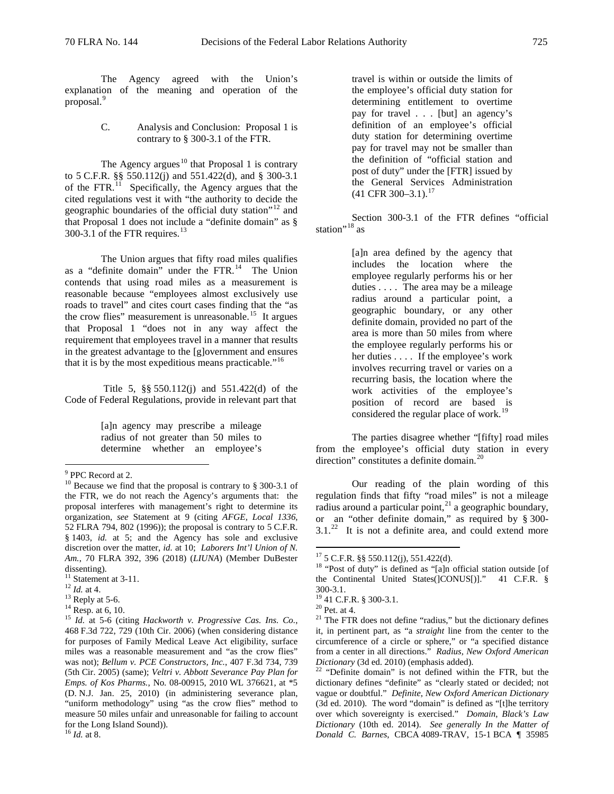proposal.<sup>[9](#page-1-0)</sup>

The Agency agreed with the Union's explanation of the meaning and operation of the

### C. Analysis and Conclusion: Proposal 1 is contrary to § 300-3.1 of the FTR.

The Agency argues $^{10}$  $^{10}$  $^{10}$  that Proposal 1 is contrary to 5 C.F.R. §§ 550.112(j) and 551.422(d), and § 300-3.1 of the  $FTR$ <sup>[11](#page-1-2)</sup> Specifically, the Agency argues that the cited regulations vest it with "the authority to decide the geographic boundaries of the official duty station"<sup>[12](#page-1-3)</sup> and that Proposal 1 does not include a "definite domain" as § 300-3.1 of the FTR requires. $^{13}$  $^{13}$  $^{13}$ 

The Union argues that fifty road miles qualifies as a "definite domain" under the FTR.<sup>14</sup> The Union contends that using road miles as a measurement is reasonable because "employees almost exclusively use roads to travel" and cites court cases finding that the "as the crow flies" measurement is unreasonable.<sup>15</sup> It argues that Proposal 1 "does not in any way affect the requirement that employees travel in a manner that results in the greatest advantage to the [g]overnment and ensures that it is by the most expeditious means practicable."<sup>[16](#page-1-7)</sup>

Title 5, §§ 550.112(j) and 551.422(d) of the Code of Federal Regulations, provide in relevant part that

> [a]n agency may prescribe a mileage radius of not greater than 50 miles to determine whether an employee's

travel is within or outside the limits of the employee's official duty station for determining entitlement to overtime pay for travel . . . [but] an agency's definition of an employee's official duty station for determining overtime pay for travel may not be smaller than the definition of "official station and post of duty" under the [FTR] issued by the General Services Administration  $(41$  CFR 300-3.1).<sup>[17](#page-1-8)</sup>

Section 300-3.1 of the FTR defines "official station $^{\prime\prime}$ <sup>[18](#page-1-9)</sup> as

> [a]n area defined by the agency that includes the location where the employee regularly performs his or her duties . . . . The area may be a mileage radius around a particular point, a geographic boundary, or any other definite domain, provided no part of the area is more than 50 miles from where the employee regularly performs his or her duties . . . . If the employee's work involves recurring travel or varies on a recurring basis, the location where the work activities of the employee's position of record are based is considered the regular place of work.<sup>1</sup>

The parties disagree whether "[fifty] road miles from the employee's official duty station in every direction" constitutes a definite domain.<sup>[20](#page-1-5)</sup>

Our reading of the plain wording of this regulation finds that fifty "road miles" is not a mileage radius around a particular point, $^{21}$  $^{21}$  $^{21}$  a geographic boundary, or an "other definite domain," as required by § 300-  $3.1<sup>22</sup>$  It is not a definite area, and could extend more

<sup>&</sup>lt;sup>9</sup> PPC Record at 2.

<span id="page-1-1"></span><span id="page-1-0"></span> $10$  Because we find that the proposal is contrary to § 300-3.1 of the FTR, we do not reach the Agency's arguments that: the proposal interferes with management's right to determine its organization, *see* Statement at 9 (citing *AFGE, Local 1336*, 52 FLRA 794, 802 (1996)); the proposal is contrary to 5 C.F.R. § 1403, *id.* at 5; and the Agency has sole and exclusive discretion over the matter, *id.* at 10; *Laborers Int'l Union of N. Am.*, 70 FLRA 392, 396 (2018) (*LIUNA*) (Member DuBester dissenting).<br> $11$  Statement at 3-11.

<span id="page-1-9"></span><span id="page-1-8"></span>

<span id="page-1-5"></span><span id="page-1-4"></span>

<span id="page-1-10"></span><span id="page-1-6"></span>

<span id="page-1-3"></span><span id="page-1-2"></span><sup>&</sup>lt;sup>12</sup> *Id.* at 4.  $\frac{13}{13}$  Reply at 5-6.  $\frac{14}{15}$  Resp. at 6, 10.  $\frac{14}{15}$  *Id.* at 5-6 (citing *Hackworth v. Progressive Cas. Ins. Co.*, 468 F.3d 722, 729 (10th Cir. 2006) (when considering distance for purposes of Family Medical Leave Act eligibility, surface miles was a reasonable measurement and "as the crow flies" was not); *Bellum v. PCE Constructors, Inc.*, 407 F.3d 734, 739 (5th Cir. 2005) (same); *Veltri v. Abbott Severance Pay Plan for Emps. of Kos Pharms.*, No. 08-00915, 2010 WL 376621, at \*5 (D. N.J. Jan. 25, 2010) (in administering severance plan, "uniform methodology" using "as the crow flies" method to measure 50 miles unfair and unreasonable for failing to account for the Long Island Sound)).

<span id="page-1-7"></span><sup>16</sup> *Id.* at 8.

<sup>&</sup>lt;sup>17</sup> 5 C.F.R. §§ 550.112(j), 551.422(d).<br><sup>18</sup> "Post of duty" is defined as "[a]n official station outside [of the Continental United States(]CONUS[)]." 41 C.F.R. § 300-3.1.<br><sup>19</sup> 41 C.F.R. § 300-3.1.<br><sup>20</sup> Pet. at 4.<br><sup>21</sup> The FTR does not define "radius," but the dictionary defines

it, in pertinent part, as "a *straight* line from the center to the circumference of a circle or sphere," or "a specified distance from a center in all directions." *Radius, New Oxford American* 

<sup>&</sup>lt;sup>22</sup> "Definite domain" is not defined within the FTR, but the dictionary defines "definite" as "clearly stated or decided; not vague or doubtful." *Definite*, *New Oxford American Dictionary*  (3d ed. 2010). The word "domain" is defined as "[t]he territory over which sovereignty is exercised." *Domain*, *Black's Law Dictionary* (10th ed. 2014). *See generally In the Matter of Donald C. Barnes*, CBCA 4089-TRAV, 15-1 BCA ¶ 35985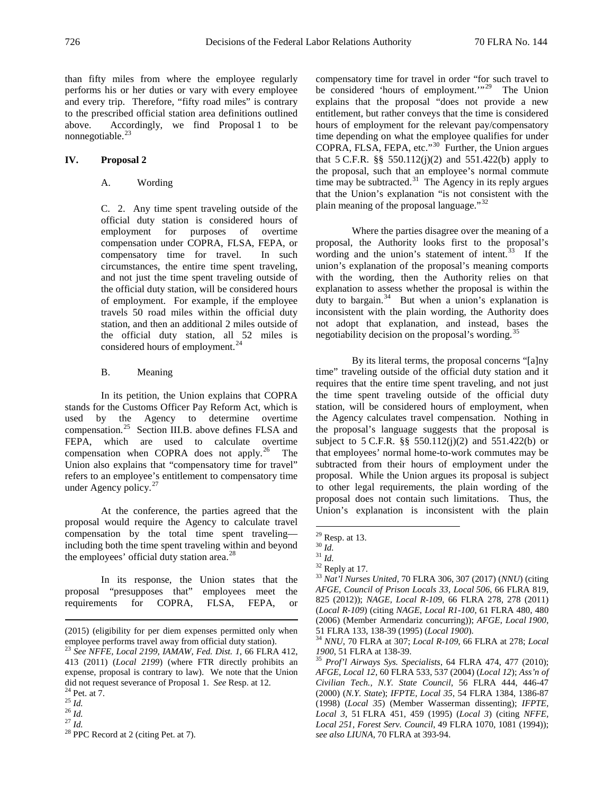than fifty miles from where the employee regularly performs his or her duties or vary with every employee and every trip. Therefore, "fifty road miles" is contrary to the prescribed official station area definitions outlined above. Accordingly, we find Proposal 1 to be nonnegotiable.<sup>23</sup>

# **IV. Proposal 2**

## A. Wording

C. 2. Any time spent traveling outside of the official duty station is considered hours of employment for purposes of overtime compensation under COPRA, FLSA, FEPA, or compensatory time for travel. In such circumstances, the entire time spent traveling, and not just the time spent traveling outside of the official duty station, will be considered hours of employment. For example, if the employee travels 50 road miles within the official duty station, and then an additional 2 miles outside of the official duty station, all 52 miles is considered hours of employment.<sup>[24](#page-2-1)</sup>

#### B. Meaning

In its petition, the Union explains that COPRA stands for the Customs Officer Pay Reform Act, which is used by the Agency to determine overtime compensation.[25](#page-2-2) Section III.B. above defines FLSA and FEPA, which are used to calculate overtime compensation when COPRA does not apply. $26$  The Union also explains that "compensatory time for travel" refers to an employee's entitlement to compensatory time under Agency policy. $27$ 

<span id="page-2-6"></span>At the conference, the parties agreed that the proposal would require the Agency to calculate travel compensation by the total time spent traveling including both the time spent traveling within and beyond the employees' official duty station area.<sup>[28](#page-2-5)</sup>

<span id="page-2-10"></span><span id="page-2-9"></span><span id="page-2-8"></span><span id="page-2-7"></span>In its response, the Union states that the proposal "presupposes that" employees meet the requirements for COPRA, FLSA, FEPA, or compensatory time for travel in order "for such travel to be considered 'hours of employment.'<sup>"29</sup> The Union explains that the proposal "does not provide a new entitlement, but rather conveys that the time is considered hours of employment for the relevant pay/compensatory time depending on what the employee qualifies for under COPRA, FLSA, FEPA, etc."[30](#page-2-7) Further, the Union argues that 5 C.F.R. §§ 550.112(j)(2) and 551.422(b) apply to the proposal, such that an employee's normal commute time may be subtracted. $31$  The Agency in its reply argues that the Union's explanation "is not consistent with the plain meaning of the proposal language."<sup>[32](#page-2-9)</sup>

Where the parties disagree over the meaning of a proposal, the Authority looks first to the proposal's wording and the union's statement of intent. $33$  If the union's explanation of the proposal's meaning comports with the wording, then the Authority relies on that explanation to assess whether the proposal is within the duty to bargain.<sup>34</sup> But when a union's explanation is inconsistent with the plain wording, the Authority does not adopt that explanation, and instead, bases the negotiability decision on the proposal's wording.<sup>[35](#page-2-12)</sup>

By its literal terms, the proposal concerns "[a]ny time" traveling outside of the official duty station and it requires that the entire time spent traveling, and not just the time spent traveling outside of the official duty station, will be considered hours of employment, when the Agency calculates travel compensation. Nothing in the proposal's language suggests that the proposal is subject to 5 C.F.R. §§ 550.112(j)(2) and 551.422(b) or that employees' normal home-to-work commutes may be subtracted from their hours of employment under the proposal. While the Union argues its proposal is subject to other legal requirements, the plain wording of the proposal does not contain such limitations. Thus, the Union's explanation is inconsistent with the plain

<span id="page-2-11"></span> <sup>(2015) (</sup>eligibility for per diem expenses permitted only when employee performs travel away from official duty station).

<span id="page-2-12"></span><span id="page-2-0"></span><sup>23</sup> *See NFFE, Local 2199, IAMAW, Fed. Dist. 1*, 66 FLRA 412, 413 (2011) (*Local 2199*) (where FTR directly prohibits an expense, proposal is contrary to law). We note that the Union did not request severance of Proposal 1. See Resp. at 12.

<span id="page-2-4"></span><span id="page-2-3"></span>

<span id="page-2-5"></span>

<span id="page-2-2"></span><span id="page-2-1"></span><sup>&</sup>lt;sup>24</sup> Pet. at  $\overline{7}$ .<br>
<sup>25</sup> *Id.*<br>
<sup>27</sup> *Id.* <sup>28</sup> PPC Record at 2 (citing Pet. at 7).

<sup>&</sup>lt;sup>29</sup> Resp. at 13.<br><sup>31</sup> *Id.* <sup>31</sup> *Id.* <sup>32</sup> Reply at 17.<br><sup>33</sup> *Nat'l Nurses United*, 70 FLRA 306, 307 (2017) (*NNU*) (citing *AFGE, Council of Prison Locals 33, Local 506*, 66 FLRA 819, 825 (2012)); *NAGE, Local R-109*, 66 FLRA 278, 278 (2011) (*Local R-109*) (citing *NAGE, Local R1-100*, 61 FLRA 480, 480 (2006) (Member Armendariz concurring)); *AFGE, Local 1900*,

<sup>51</sup> FLRA 133, 138-39 (1995) (*Local 1900*). <sup>34</sup> *NNU*, 70 FLRA at 307; *Local R-109*, 66 FLRA at 278; *Local* 

*<sup>1900</sup>*, 51 FLRA at 138-39. <sup>35</sup> *Prof'l Airways Sys. Specialists*, 64 FLRA 474, 477 (2010); *AFGE, Local 12*, 60 FLRA 533, 537 (2004) (*Local 12*); *Ass'n of Civilian Tech., N.Y. State Council*, 56 FLRA 444, 446-47 (2000) (*N.Y. State*); *IFPTE, Local 35*, 54 FLRA 1384, 1386-87 (1998) (*Local 35*) (Member Wasserman dissenting); *IFPTE, Local 3*, 51 FLRA 451, 459 (1995) (*Local 3*) (citing *NFFE, Local 251, Forest Serv. Council*, 49 FLRA 1070, 1081 (1994)); *see also LIUNA*, 70 FLRA at 393-94.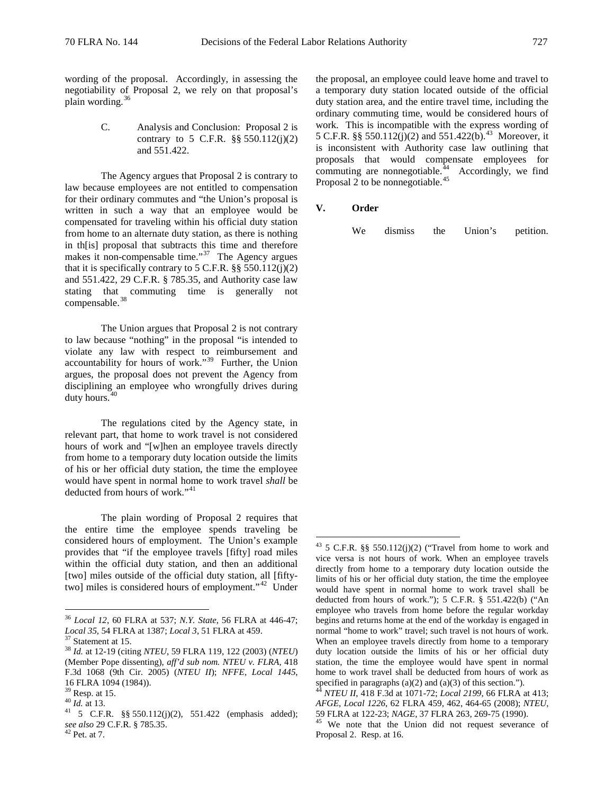wording of the proposal. Accordingly, in assessing the negotiability of Proposal 2, we rely on that proposal's plain wording. $36$ 

> C. Analysis and Conclusion: Proposal 2 is contrary to 5 C.F.R.  $\S$ § 550.112(j)(2) and 551.422.

The Agency argues that Proposal 2 is contrary to law because employees are not entitled to compensation for their ordinary commutes and "the Union's proposal is written in such a way that an employee would be compensated for traveling within his official duty station from home to an alternate duty station, as there is nothing in th[is] proposal that subtracts this time and therefore makes it non-compensable time."<sup>[37](#page-3-1)</sup> The Agency argues that it is specifically contrary to  $5$  C.F.R. §§  $550.112(j)(2)$ and 551.422, 29 C.F.R. § 785.35, and Authority case law stating that commuting time is generally not compensable.<sup>[38](#page-3-2)</sup>

The Union argues that Proposal 2 is not contrary to law because "nothing" in the proposal "is intended to violate any law with respect to reimbursement and accountability for hours of work."[39](#page-3-3) Further, the Union argues, the proposal does not prevent the Agency from disciplining an employee who wrongfully drives during duty hours.<sup>4</sup>

The regulations cited by the Agency state, in relevant part, that home to work travel is not considered hours of work and "[w]hen an employee travels directly from home to a temporary duty location outside the limits of his or her official duty station, the time the employee would have spent in normal home to work travel *shall* be deducted from hours of work."<sup>[41](#page-3-5)</sup>

<span id="page-3-7"></span>The plain wording of Proposal 2 requires that the entire time the employee spends traveling be considered hours of employment. The Union's example provides that "if the employee travels [fifty] road miles within the official duty station, and then an additional [two] miles outside of the official duty station, all [fifty-two] miles is considered hours of employment."<sup>[42](#page-3-6)</sup> Under the proposal, an employee could leave home and travel to a temporary duty station located outside of the official duty station area, and the entire travel time, including the ordinary commuting time, would be considered hours of work. This is incompatible with the express wording of 5 C.F.R. §§ 550.112(j)(2) and 551.422(b).<sup>[43](#page-3-7)</sup> Moreover, it is inconsistent with Authority case law outlining that proposals that would compensate employees for commuting are nonnegotiable. $44$  Accordingly, we find Proposal 2 to be nonnegotiable.<sup>[45](#page-3-8)</sup>

**V. Order**

We dismiss the Union's petition.

<span id="page-3-0"></span> <sup>36</sup> *Local 12*, 60 FLRA at 537; *N.Y. State*, 56 FLRA at 446-47;

<span id="page-3-2"></span>

<span id="page-3-1"></span><sup>&</sup>lt;sup>37</sup> Statement at 15.<br><sup>38</sup> *Id.* at 12-19 (citing *NTEU*, 59 FLRA 119, 122 (2003) (*NTEU*) (Member Pope dissenting), *aff'd sub nom. NTEU v. FLRA*, 418 F.3d 1068 (9th Cir. 2005) (*NTEU II*); *NFFE, Local 1445*,

<span id="page-3-5"></span>

<span id="page-3-4"></span><span id="page-3-3"></span><sup>&</sup>lt;sup>39</sup> Resp. at 15.<br><sup>40</sup> *Id.* at 13.<br><sup>41</sup> 5 C.F.R. §§ 550.112(j)(2), 551.422 (emphasis added); *see also* 29 C.F.R. § 785.35. <sup>42</sup> Pet. at 7.

<span id="page-3-8"></span><span id="page-3-6"></span>

 $43$  5 C.F.R. §§ 550.112(j)(2) ("Travel from home to work and vice versa is not hours of work. When an employee travels directly from home to a temporary duty location outside the limits of his or her official duty station, the time the employee would have spent in normal home to work travel shall be deducted from hours of work."); 5 C.F.R. § 551.422(b) ("An employee who travels from home before the regular workday begins and returns home at the end of the workday is engaged in normal "home to work" travel; such travel is not hours of work. When an employee travels directly from home to a temporary duty location outside the limits of his or her official duty station, the time the employee would have spent in normal home to work travel shall be deducted from hours of work as specified in paragraphs (a)(2) and (a)(3) of this section.").

<sup>44</sup> *NTEU II*, 418 F.3d at 1071-72; *Local 2199*, 66 FLRA at 413; *AFGE, Local 1226*, 62 FLRA 459, 462, 464-65 (2008); *NTEU*,

<sup>&</sup>lt;sup>45</sup> We note that the Union did not request severance of Proposal 2. Resp. at 16.